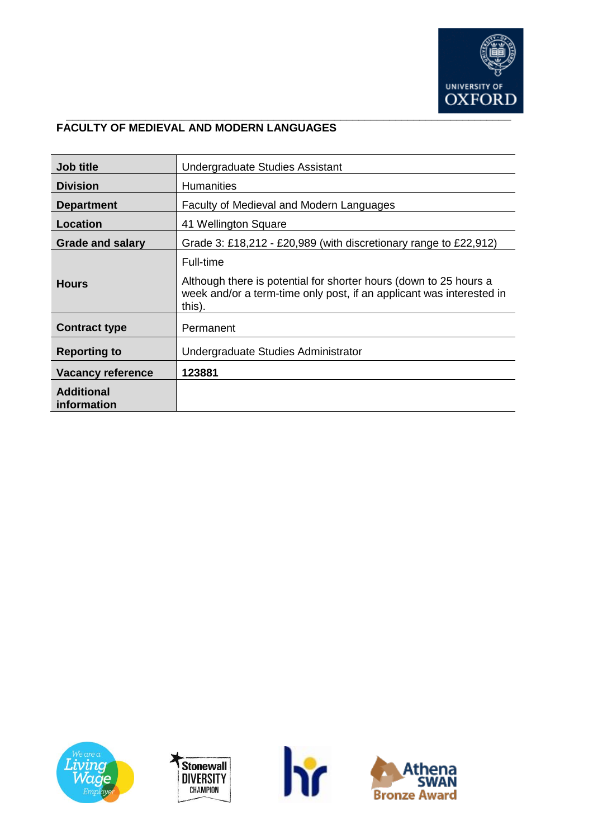

## **FACULTY OF MEDIEVAL AND MODERN LANGUAGES**

| <b>Job title</b>                 | Undergraduate Studies Assistant                                                                                                                                  |
|----------------------------------|------------------------------------------------------------------------------------------------------------------------------------------------------------------|
| <b>Division</b>                  | <b>Humanities</b>                                                                                                                                                |
| <b>Department</b>                | Faculty of Medieval and Modern Languages                                                                                                                         |
| Location                         | 41 Wellington Square                                                                                                                                             |
| <b>Grade and salary</b>          | Grade 3: £18,212 - £20,989 (with discretionary range to £22,912)                                                                                                 |
| <b>Hours</b>                     | Full-time<br>Although there is potential for shorter hours (down to 25 hours a<br>week and/or a term-time only post, if an applicant was interested in<br>this). |
| <b>Contract type</b>             | Permanent                                                                                                                                                        |
| <b>Reporting to</b>              | Undergraduate Studies Administrator                                                                                                                              |
| <b>Vacancy reference</b>         | 123881                                                                                                                                                           |
| <b>Additional</b><br>information |                                                                                                                                                                  |







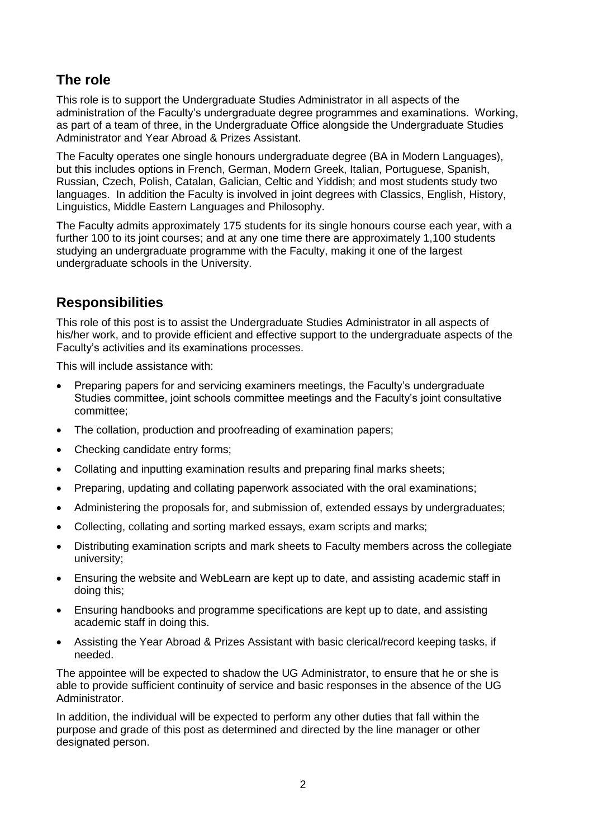# **The role**

This role is to support the Undergraduate Studies Administrator in all aspects of the administration of the Faculty's undergraduate degree programmes and examinations. Working, as part of a team of three, in the Undergraduate Office alongside the Undergraduate Studies Administrator and Year Abroad & Prizes Assistant.

The Faculty operates one single honours undergraduate degree (BA in Modern Languages), but this includes options in French, German, Modern Greek, Italian, Portuguese, Spanish, Russian, Czech, Polish, Catalan, Galician, Celtic and Yiddish; and most students study two languages. In addition the Faculty is involved in joint degrees with Classics, English, History, Linguistics, Middle Eastern Languages and Philosophy.

The Faculty admits approximately 175 students for its single honours course each year, with a further 100 to its joint courses; and at any one time there are approximately 1,100 students studying an undergraduate programme with the Faculty, making it one of the largest undergraduate schools in the University.

# **Responsibilities**

This role of this post is to assist the Undergraduate Studies Administrator in all aspects of his/her work, and to provide efficient and effective support to the undergraduate aspects of the Faculty's activities and its examinations processes.

This will include assistance with:

- Preparing papers for and servicing examiners meetings, the Faculty's undergraduate Studies committee, joint schools committee meetings and the Faculty's joint consultative committee;
- The collation, production and proofreading of examination papers;
- Checking candidate entry forms;
- Collating and inputting examination results and preparing final marks sheets;
- Preparing, updating and collating paperwork associated with the oral examinations;
- Administering the proposals for, and submission of, extended essays by undergraduates;
- Collecting, collating and sorting marked essays, exam scripts and marks;
- Distributing examination scripts and mark sheets to Faculty members across the collegiate university;
- Ensuring the website and WebLearn are kept up to date, and assisting academic staff in doing this;
- Ensuring handbooks and programme specifications are kept up to date, and assisting academic staff in doing this.
- Assisting the Year Abroad & Prizes Assistant with basic clerical/record keeping tasks, if needed.

The appointee will be expected to shadow the UG Administrator, to ensure that he or she is able to provide sufficient continuity of service and basic responses in the absence of the UG Administrator.

In addition, the individual will be expected to perform any other duties that fall within the purpose and grade of this post as determined and directed by the line manager or other designated person.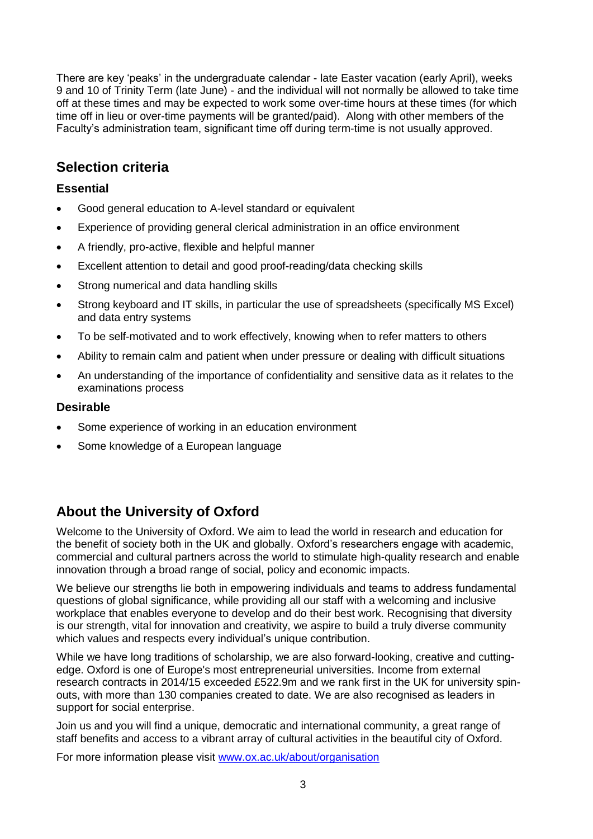There are key 'peaks' in the undergraduate calendar - late Easter vacation (early April), weeks 9 and 10 of Trinity Term (late June) - and the individual will not normally be allowed to take time off at these times and may be expected to work some over-time hours at these times (for which time off in lieu or over-time payments will be granted/paid). Along with other members of the Faculty's administration team, significant time off during term-time is not usually approved.

# **Selection criteria**

## **Essential**

- Good general education to A-level standard or equivalent
- Experience of providing general clerical administration in an office environment
- A friendly, pro-active, flexible and helpful manner
- Excellent attention to detail and good proof-reading/data checking skills
- Strong numerical and data handling skills
- Strong keyboard and IT skills, in particular the use of spreadsheets (specifically MS Excel) and data entry systems
- To be self-motivated and to work effectively, knowing when to refer matters to others
- Ability to remain calm and patient when under pressure or dealing with difficult situations
- An understanding of the importance of confidentiality and sensitive data as it relates to the examinations process

### **Desirable**

- Some experience of working in an education environment
- Some knowledge of a European language

# **About the University of Oxford**

Welcome to the University of Oxford. We aim to lead the world in research and education for the benefit of society both in the UK and globally. Oxford's researchers engage with academic, commercial and cultural partners across the world to stimulate high-quality research and enable innovation through a broad range of social, policy and economic impacts.

We believe our strengths lie both in empowering individuals and teams to address fundamental questions of global significance, while providing all our staff with a welcoming and inclusive workplace that enables everyone to develop and do their best work. Recognising that diversity is our strength, vital for innovation and creativity, we aspire to build a truly diverse community which values and respects every individual's unique contribution.

While we have long traditions of scholarship, we are also forward-looking, creative and cuttingedge. Oxford is one of Europe's most entrepreneurial universities. Income from external research contracts in 2014/15 exceeded £522.9m and we rank first in the UK for university spinouts, with more than 130 companies created to date. We are also recognised as leaders in support for social enterprise.

Join us and you will find a unique, democratic and international community, a great range of staff benefits and access to a vibrant array of cultural activities in the beautiful city of Oxford.

For more information please visit [www.ox.ac.uk/about/organisation](http://www.ox.ac.uk/about/organisation)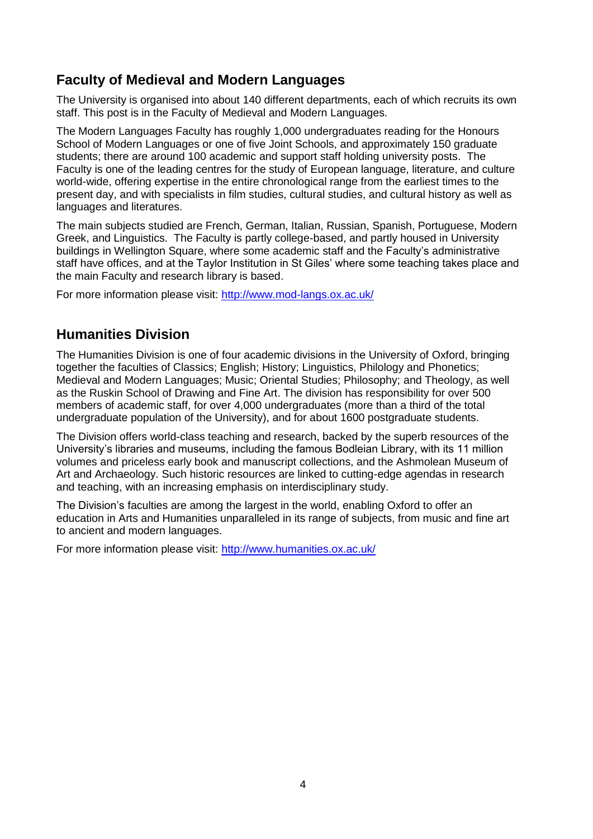# **Faculty of Medieval and Modern Languages**

The University is organised into about 140 different departments, each of which recruits its own staff. This post is in the Faculty of Medieval and Modern Languages.

The Modern Languages Faculty has roughly 1,000 undergraduates reading for the Honours School of Modern Languages or one of five Joint Schools, and approximately 150 graduate students; there are around 100 academic and support staff holding university posts. The Faculty is one of the leading centres for the study of European language, literature, and culture world-wide, offering expertise in the entire chronological range from the earliest times to the present day, and with specialists in film studies, cultural studies, and cultural history as well as languages and literatures.

The main subjects studied are French, German, Italian, Russian, Spanish, Portuguese, Modern Greek, and Linguistics. The Faculty is partly college-based, and partly housed in University buildings in Wellington Square, where some academic staff and the Faculty's administrative staff have offices, and at the Taylor Institution in St Giles' where some teaching takes place and the main Faculty and research library is based.

For more information please visit:<http://www.mod-langs.ox.ac.uk/>

# **Humanities Division**

The Humanities Division is one of four academic divisions in the University of Oxford, bringing together the faculties of Classics; English; History; Linguistics, Philology and Phonetics; Medieval and Modern Languages; Music; Oriental Studies; Philosophy; and Theology, as well as the Ruskin School of Drawing and Fine Art. The division has responsibility for over 500 members of academic staff, for over 4,000 undergraduates (more than a third of the total undergraduate population of the University), and for about 1600 postgraduate students.

The Division offers world-class teaching and research, backed by the superb resources of the University's libraries and museums, including the famous Bodleian Library, with its 11 million volumes and priceless early book and manuscript collections, and the Ashmolean Museum of Art and Archaeology. Such historic resources are linked to cutting-edge agendas in research and teaching, with an increasing emphasis on interdisciplinary study.

The Division's faculties are among the largest in the world, enabling Oxford to offer an education in Arts and Humanities unparalleled in its range of subjects, from music and fine art to ancient and modern languages.

For more information please visit:<http://www.humanities.ox.ac.uk/>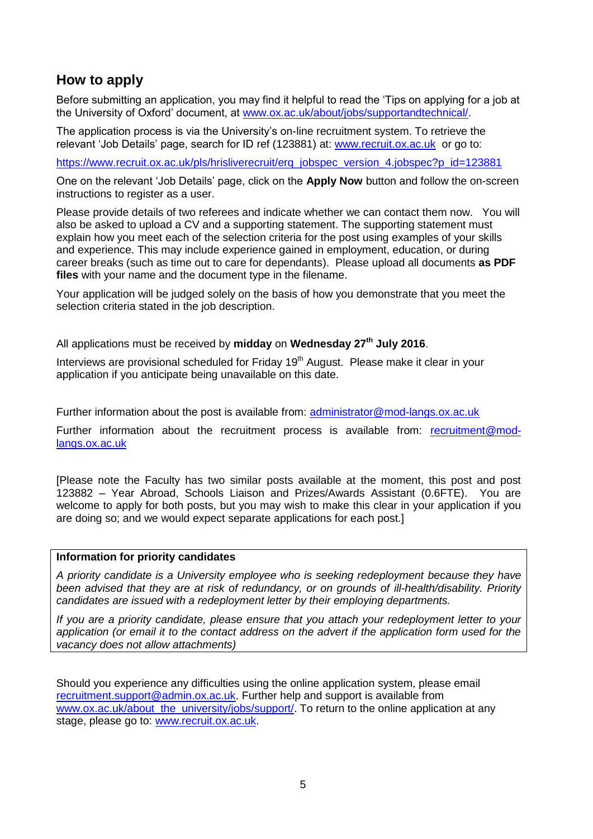## **How to apply**

Before submitting an application, you may find it helpful to read the 'Tips on applying for a job at the University of Oxford' document, at [www.ox.ac.uk/about/jobs/supportandtechnical/.](http://www.ox.ac.uk/about/jobs/supportandtechnical/)

The application process is via the University's on-line recruitment system. To retrieve the relevant 'Job Details' page, search for ID ref (123881) at: [www.recruit.ox.ac.uk](http://www.recruit.ox.ac.uk/) or go to:

[https://www.recruit.ox.ac.uk/pls/hrisliverecruit/erq\\_jobspec\\_version\\_4.jobspec?p\\_id=123881](https://www.recruit.ox.ac.uk/pls/hrisliverecruit/erq_jobspec_version_4.jobspec?p_id=123881)

One on the relevant 'Job Details' page, click on the **Apply Now** button and follow the on-screen instructions to register as a user.

Please provide details of two referees and indicate whether we can contact them now. You will also be asked to upload a CV and a supporting statement. The supporting statement must explain how you meet each of the selection criteria for the post using examples of your skills and experience. This may include experience gained in employment, education, or during career breaks (such as time out to care for dependants). Please upload all documents **as PDF files** with your name and the document type in the filename.

Your application will be judged solely on the basis of how you demonstrate that you meet the selection criteria stated in the job description.

All applications must be received by **midday** on **Wednesday 27th July 2016**.

Interviews are provisional scheduled for Friday  $19<sup>th</sup>$  August. Please make it clear in your application if you anticipate being unavailable on this date.

Further information about the post is available from: [administrator@mod-langs.ox.ac.uk](mailto:administrator@mod-langs.ox.ac.uk)

Further information about the recruitment process is available from: [recruitment@mod](mailto:recruitment@mod-langs.ox.ac.uk)[langs.ox.ac.uk](mailto:recruitment@mod-langs.ox.ac.uk)

[Please note the Faculty has two similar posts available at the moment, this post and post 123882 – Year Abroad, Schools Liaison and Prizes/Awards Assistant (0.6FTE). You are welcome to apply for both posts, but you may wish to make this clear in your application if you are doing so; and we would expect separate applications for each post.]

### **Information for priority candidates**

*A priority candidate is a University employee who is seeking redeployment because they have been advised that they are at risk of redundancy, or on grounds of ill-health/disability. Priority candidates are issued with a redeployment letter by their employing departments.*

*If you are a priority candidate, please ensure that you attach your redeployment letter to your application (or email it to the contact address on the advert if the application form used for the vacancy does not allow attachments)*

Should you experience any difficulties using the online application system, please email [recruitment.support@admin.ox.ac.uk.](mailto:recruitment.support@admin.ox.ac.uk) Further help and support is available from [www.ox.ac.uk/about\\_the\\_university/jobs/support/.](http://www.ox.ac.uk/about_the_university/jobs/support/) To return to the online application at any stage, please go to: [www.recruit.ox.ac.uk.](http://www.recruit.ox.ac.uk/)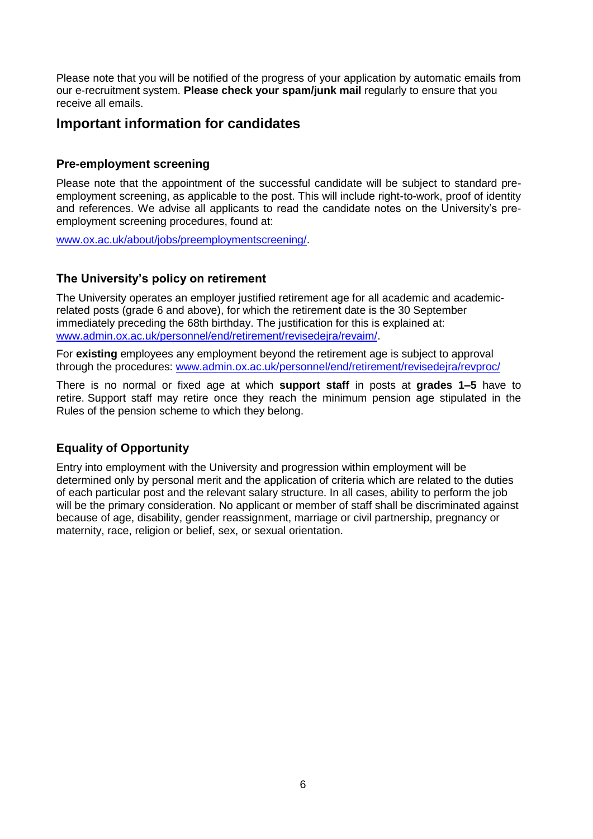Please note that you will be notified of the progress of your application by automatic emails from our e-recruitment system. **Please check your spam/junk mail** regularly to ensure that you receive all emails.

## **Important information for candidates**

### **Pre-employment screening**

Please note that the appointment of the successful candidate will be subject to standard preemployment screening, as applicable to the post. This will include right-to-work, proof of identity and references. We advise all applicants to read the candidate notes on the University's preemployment screening procedures, found at:

[www.ox.ac.uk/about/jobs/preemploymentscreening/.](http://www.ox.ac.uk/about/jobs/preemploymentscreening/)

### **The University's policy on retirement**

The University operates an employer justified retirement age for all academic and academicrelated posts (grade 6 and above), for which the retirement date is the 30 September immediately preceding the 68th birthday. The justification for this is explained at: [www.admin.ox.ac.uk/personnel/end/retirement/revisedejra/revaim/.](http://www.admin.ox.ac.uk/personnel/end/retirement/revisedejra/revaim/)

For **existing** employees any employment beyond the retirement age is subject to approval through the procedures: [www.admin.ox.ac.uk/personnel/end/retirement/revisedejra/revproc/](http://www.admin.ox.ac.uk/personnel/end/retirement/revisedejra/revproc/)

There is no normal or fixed age at which **support staff** in posts at **grades 1–5** have to retire. Support staff may retire once they reach the minimum pension age stipulated in the Rules of the pension scheme to which they belong.

## **Equality of Opportunity**

Entry into employment with the University and progression within employment will be determined only by personal merit and the application of criteria which are related to the duties of each particular post and the relevant salary structure. In all cases, ability to perform the job will be the primary consideration. No applicant or member of staff shall be discriminated against because of age, disability, gender reassignment, marriage or civil partnership, pregnancy or maternity, race, religion or belief, sex, or sexual orientation.